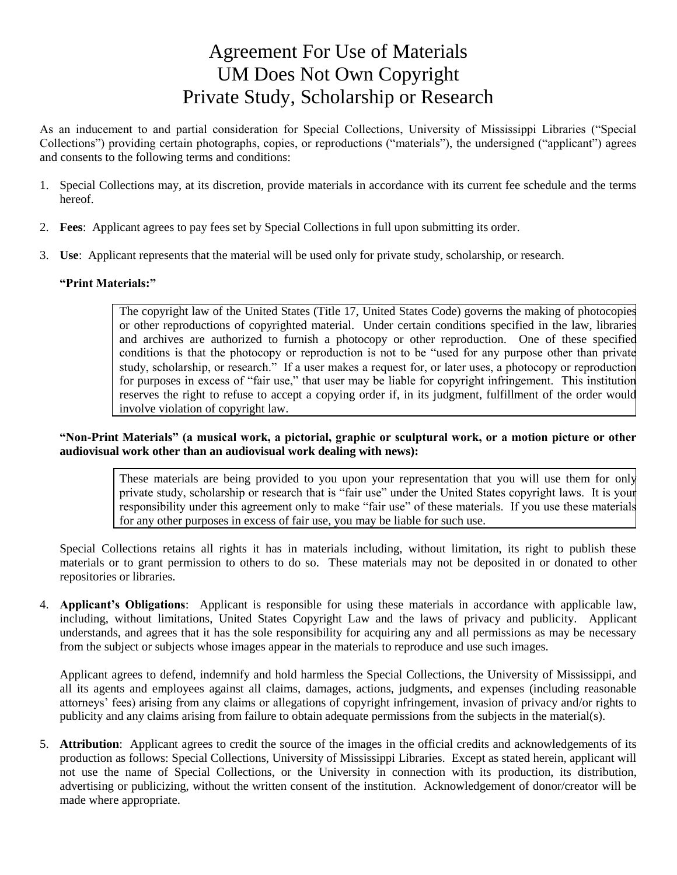## Agreement For Use of Materials UM Does Not Own Copyright Private Study, Scholarship or Research

As an inducement to and partial consideration for Special Collections, University of Mississippi Libraries ("Special Collections") providing certain photographs, copies, or reproductions ("materials"), the undersigned ("applicant") agrees and consents to the following terms and conditions:

- 1. Special Collections may, at its discretion, provide materials in accordance with its current fee schedule and the terms hereof.
- 2. **Fees**: Applicant agrees to pay fees set by Special Collections in full upon submitting its order.
- 3. **Use**: Applicant represents that the material will be used only for private study, scholarship, or research.

## **"Print Materials:"**

The copyright law of the United States (Title 17, United States Code) governs the making of photocopies or other reproductions of copyrighted material. Under certain conditions specified in the law, libraries and archives are authorized to furnish a photocopy or other reproduction. One of these specified conditions is that the photocopy or reproduction is not to be "used for any purpose other than private study, scholarship, or research." If a user makes a request for, or later uses, a photocopy or reproduction for purposes in excess of "fair use," that user may be liable for copyright infringement. This institution reserves the right to refuse to accept a copying order if, in its judgment, fulfillment of the order would involve violation of copyright law.

## **"Non-Print Materials" (a musical work, a pictorial, graphic or sculptural work, or a motion picture or other audiovisual work other than an audiovisual work dealing with news):**

These materials are being provided to you upon your representation that you will use them for only private study, scholarship or research that is "fair use" under the United States copyright laws. It is your responsibility under this agreement only to make "fair use" of these materials. If you use these materials for any other purposes in excess of fair use, you may be liable for such use.

Special Collections retains all rights it has in materials including, without limitation, its right to publish these materials or to grant permission to others to do so. These materials may not be deposited in or donated to other repositories or libraries.

4. **Applicant's Obligations**: Applicant is responsible for using these materials in accordance with applicable law, including, without limitations, United States Copyright Law and the laws of privacy and publicity. Applicant understands, and agrees that it has the sole responsibility for acquiring any and all permissions as may be necessary from the subject or subjects whose images appear in the materials to reproduce and use such images.

Applicant agrees to defend, indemnify and hold harmless the Special Collections, the University of Mississippi, and all its agents and employees against all claims, damages, actions, judgments, and expenses (including reasonable attorneys' fees) arising from any claims or allegations of copyright infringement, invasion of privacy and/or rights to publicity and any claims arising from failure to obtain adequate permissions from the subjects in the material(s).

5. **Attribution**: Applicant agrees to credit the source of the images in the official credits and acknowledgements of its production as follows: Special Collections, University of Mississippi Libraries. Except as stated herein, applicant will not use the name of Special Collections, or the University in connection with its production, its distribution, advertising or publicizing, without the written consent of the institution. Acknowledgement of donor/creator will be made where appropriate.